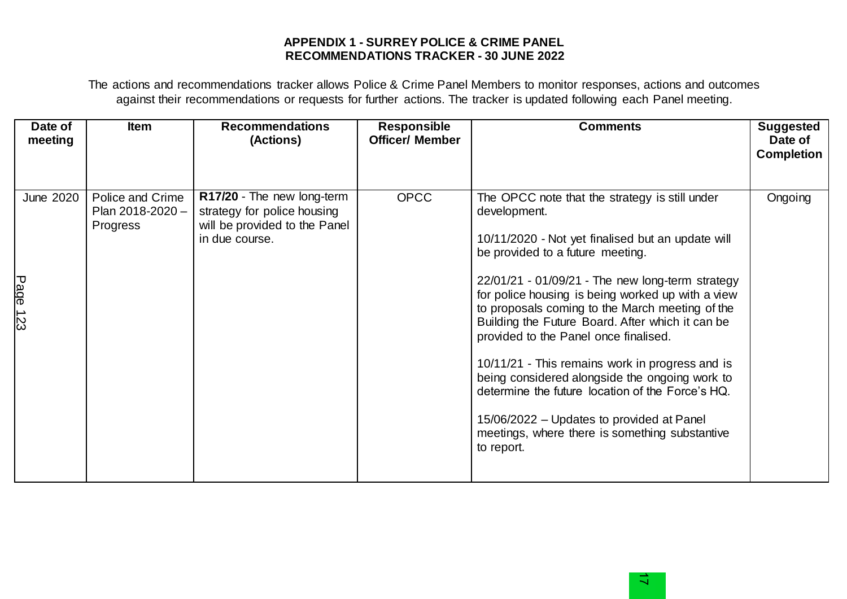## **APPENDIX 1 - SURREY POLICE & CRIME PANEL RECOMMENDATIONS TRACKER - 30 JUNE 2022**

The actions and recommendations tracker allows Police & Crime Panel Members to monitor responses, actions and outcomes against their recommendations or requests for further actions. The tracker is updated following each Panel meeting.

| Date of<br>meeting           | Item                                             | <b>Recommendations</b><br>(Actions)                                                                          | <b>Responsible</b><br><b>Officer/ Member</b> | <b>Comments</b>                                                                                                                                                                                                                                                                                                                                                                                                                                                                                                                                                                                                                                                                          | <b>Suggested</b><br>Date of<br><b>Completion</b> |
|------------------------------|--------------------------------------------------|--------------------------------------------------------------------------------------------------------------|----------------------------------------------|------------------------------------------------------------------------------------------------------------------------------------------------------------------------------------------------------------------------------------------------------------------------------------------------------------------------------------------------------------------------------------------------------------------------------------------------------------------------------------------------------------------------------------------------------------------------------------------------------------------------------------------------------------------------------------------|--------------------------------------------------|
| <b>June 2020</b><br>Page 123 | Police and Crime<br>Plan 2018-2020 -<br>Progress | R17/20 - The new long-term<br>strategy for police housing<br>will be provided to the Panel<br>in due course. | <b>OPCC</b>                                  | The OPCC note that the strategy is still under<br>development.<br>10/11/2020 - Not yet finalised but an update will<br>be provided to a future meeting.<br>$22/01/21 - 01/09/21$ - The new long-term strategy<br>for police housing is being worked up with a view<br>to proposals coming to the March meeting of the<br>Building the Future Board. After which it can be<br>provided to the Panel once finalised.<br>10/11/21 - This remains work in progress and is<br>being considered alongside the ongoing work to<br>determine the future location of the Force's HQ.<br>15/06/2022 – Updates to provided at Panel<br>meetings, where there is something substantive<br>to report. | Ongoing                                          |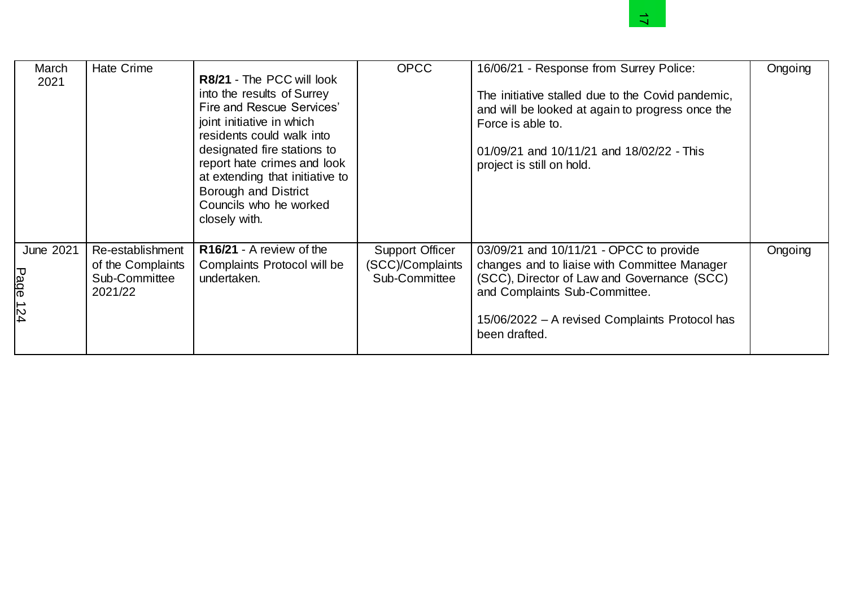

|                              |                                                                   |                                                                                                                                                                                                                                                                                                                           |                                                      | $\overline{\phantom{0}}$                                                                                                                                                                                                                        |         |
|------------------------------|-------------------------------------------------------------------|---------------------------------------------------------------------------------------------------------------------------------------------------------------------------------------------------------------------------------------------------------------------------------------------------------------------------|------------------------------------------------------|-------------------------------------------------------------------------------------------------------------------------------------------------------------------------------------------------------------------------------------------------|---------|
| March<br>2021                | <b>Hate Crime</b>                                                 | R8/21 - The PCC will look<br>into the results of Surrey<br>Fire and Rescue Services'<br>joint initiative in which<br>residents could walk into<br>designated fire stations to<br>report hate crimes and look<br>at extending that initiative to<br><b>Borough and District</b><br>Councils who he worked<br>closely with. | <b>OPCC</b>                                          | 16/06/21 - Response from Surrey Police:<br>The initiative stalled due to the Covid pandemic,<br>and will be looked at again to progress once the<br>Force is able to.<br>01/09/21 and 10/11/21 and 18/02/22 - This<br>project is still on hold. | Ongoing |
| <b>June 2021</b><br>Page 124 | Re-establishment<br>of the Complaints<br>Sub-Committee<br>2021/22 | R16/21 - A review of the<br>Complaints Protocol will be<br>undertaken.                                                                                                                                                                                                                                                    | Support Officer<br>(SCC)/Complaints<br>Sub-Committee | 03/09/21 and 10/11/21 - OPCC to provide<br>changes and to liaise with Committee Manager<br>(SCC), Director of Law and Governance (SCC)<br>and Complaints Sub-Committee.<br>15/06/2022 - A revised Complaints Protocol has<br>been drafted.      | Ongoing |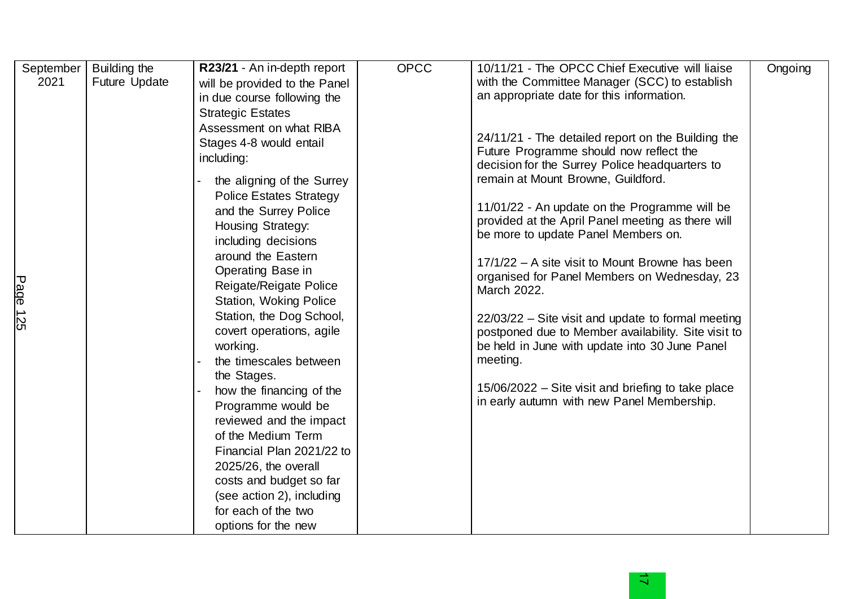| September       | Building the         | R23/21 - An in-depth report    | <b>OPCC</b> | 10/11/21 - The OPCC Chief Executive will liaise                                                    | Ongoing |
|-----------------|----------------------|--------------------------------|-------------|----------------------------------------------------------------------------------------------------|---------|
| 2021            | <b>Future Update</b> | will be provided to the Panel  |             | with the Committee Manager (SCC) to establish                                                      |         |
|                 |                      | in due course following the    |             | an appropriate date for this information.                                                          |         |
|                 |                      | <b>Strategic Estates</b>       |             |                                                                                                    |         |
|                 |                      | Assessment on what RIBA        |             |                                                                                                    |         |
|                 |                      | Stages 4-8 would entail        |             | 24/11/21 - The detailed report on the Building the                                                 |         |
|                 |                      | including:                     |             | Future Programme should now reflect the                                                            |         |
|                 |                      |                                |             | decision for the Surrey Police headquarters to                                                     |         |
|                 |                      | the aligning of the Surrey     |             | remain at Mount Browne, Guildford.                                                                 |         |
|                 |                      | <b>Police Estates Strategy</b> |             |                                                                                                    |         |
|                 |                      | and the Surrey Police          |             | 11/01/22 - An update on the Programme will be<br>provided at the April Panel meeting as there will |         |
|                 |                      | Housing Strategy:              |             | be more to update Panel Members on.                                                                |         |
|                 |                      | including decisions            |             |                                                                                                    |         |
|                 |                      | around the Eastern             |             | 17/1/22 - A site visit to Mount Browne has been                                                    |         |
|                 |                      | Operating Base in              |             | organised for Panel Members on Wednesday, 23                                                       |         |
| <u>Page 125</u> |                      | Reigate/Reigate Police         |             | March 2022.                                                                                        |         |
|                 |                      | Station, Woking Police         |             |                                                                                                    |         |
|                 |                      | Station, the Dog School,       |             | $22/03/22$ – Site visit and update to formal meeting                                               |         |
|                 |                      | covert operations, agile       |             | postponed due to Member availability. Site visit to                                                |         |
|                 |                      | working.                       |             | be held in June with update into 30 June Panel                                                     |         |
|                 |                      | the timescales between         |             | meeting.                                                                                           |         |
|                 |                      | the Stages.                    |             |                                                                                                    |         |
|                 |                      | how the financing of the       |             | 15/06/2022 – Site visit and briefing to take place                                                 |         |
|                 |                      | Programme would be             |             | in early autumn with new Panel Membership.                                                         |         |
|                 |                      | reviewed and the impact        |             |                                                                                                    |         |
|                 |                      | of the Medium Term             |             |                                                                                                    |         |
|                 |                      | Financial Plan 2021/22 to      |             |                                                                                                    |         |
|                 |                      | 2025/26, the overall           |             |                                                                                                    |         |
|                 |                      | costs and budget so far        |             |                                                                                                    |         |
|                 |                      | (see action 2), including      |             |                                                                                                    |         |
|                 |                      | for each of the two            |             |                                                                                                    |         |
|                 |                      | options for the new            |             |                                                                                                    |         |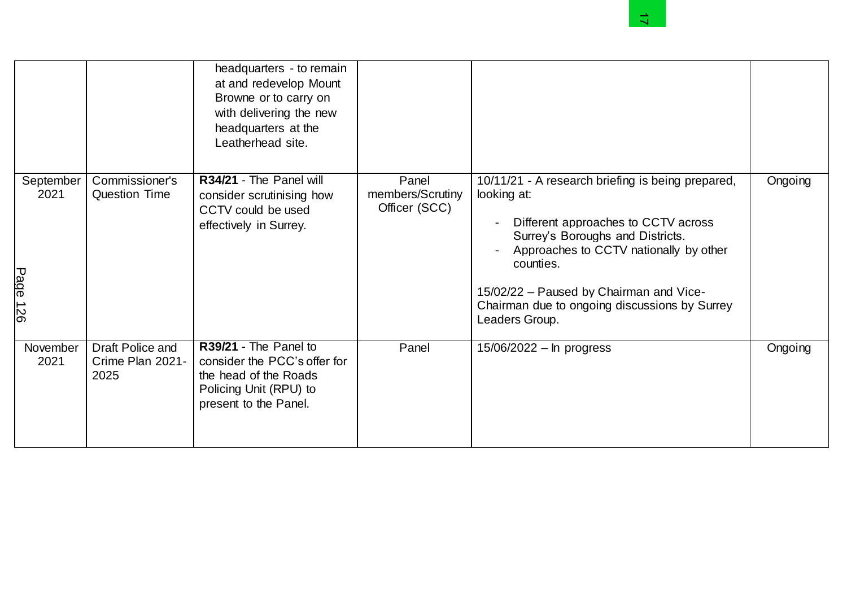|                                              |                                              |                                                                                                                                                    |                                            | $\overline{\phantom{0}}$                                                                                                                                                                                                                                                                                         |         |
|----------------------------------------------|----------------------------------------------|----------------------------------------------------------------------------------------------------------------------------------------------------|--------------------------------------------|------------------------------------------------------------------------------------------------------------------------------------------------------------------------------------------------------------------------------------------------------------------------------------------------------------------|---------|
|                                              |                                              | headquarters - to remain<br>at and redevelop Mount<br>Browne or to carry on<br>with delivering the new<br>headquarters at the<br>Leatherhead site. |                                            |                                                                                                                                                                                                                                                                                                                  |         |
| September<br>2021<br>Page<br>$\frac{126}{1}$ | Commissioner's<br><b>Question Time</b>       | R34/21 - The Panel will<br>consider scrutinising how<br>CCTV could be used<br>effectively in Surrey.                                               | Panel<br>members/Scrutiny<br>Officer (SCC) | 10/11/21 - A research briefing is being prepared,<br>looking at:<br>Different approaches to CCTV across<br>Surrey's Boroughs and Districts.<br>Approaches to CCTV nationally by other<br>counties.<br>15/02/22 - Paused by Chairman and Vice-<br>Chairman due to ongoing discussions by Surrey<br>Leaders Group. | Ongoing |
| November<br>2021                             | Draft Police and<br>Crime Plan 2021-<br>2025 | R39/21 - The Panel to<br>consider the PCC's offer for<br>the head of the Roads<br>Policing Unit (RPU) to<br>present to the Panel.                  | Panel                                      | $15/06/2022 - \ln$ progress                                                                                                                                                                                                                                                                                      | Ongoing |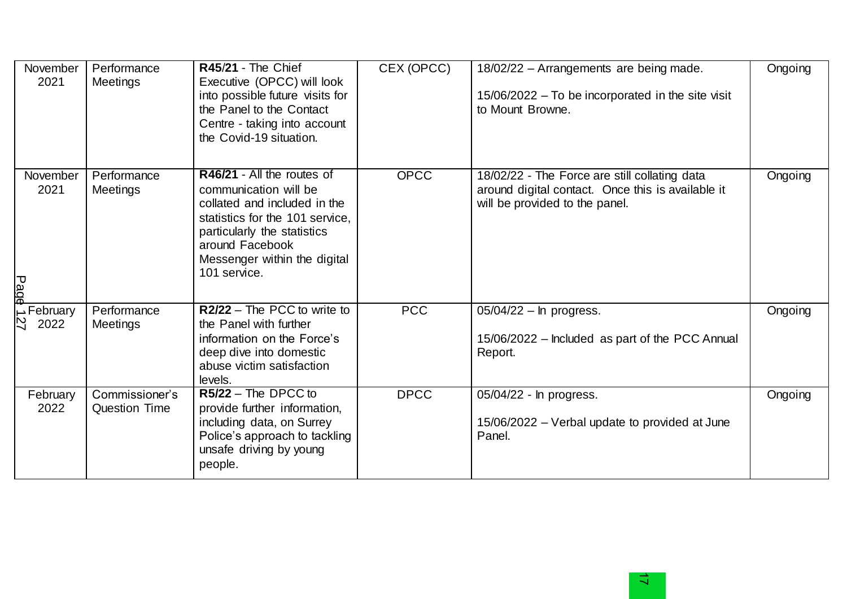| November<br>2021                 | Performance<br><b>Meetings</b>         | R45/21 - The Chief<br>Executive (OPCC) will look<br>into possible future visits for<br>the Panel to the Contact<br>Centre - taking into account<br>the Covid-19 situation.                                               | CEX (OPCC)  | 18/02/22 - Arrangements are being made.<br>15/06/2022 - To be incorporated in the site visit<br>to Mount Browne.                     | Ongoing |
|----------------------------------|----------------------------------------|--------------------------------------------------------------------------------------------------------------------------------------------------------------------------------------------------------------------------|-------------|--------------------------------------------------------------------------------------------------------------------------------------|---------|
| November<br>2021<br>Page         | Performance<br><b>Meetings</b>         | R46/21 - All the routes of<br>communication will be<br>collated and included in the<br>statistics for the 101 service.<br>particularly the statistics<br>around Facebook<br>Messenger within the digital<br>101 service. | <b>OPCC</b> | 18/02/22 - The Force are still collating data<br>around digital contact. Once this is available it<br>will be provided to the panel. | Ongoing |
| – February<br>$\lesssim$<br>2022 | Performance<br><b>Meetings</b>         | $R2/22$ – The PCC to write to<br>the Panel with further<br>information on the Force's<br>deep dive into domestic<br>abuse victim satisfaction<br>levels.                                                                 | <b>PCC</b>  | $05/04/22 - \ln$ progress.<br>15/06/2022 – Included as part of the PCC Annual<br>Report.                                             | Ongoing |
| February<br>2022                 | Commissioner's<br><b>Question Time</b> | $R5/22$ – The DPCC to<br>provide further information,<br>including data, on Surrey<br>Police's approach to tackling<br>unsafe driving by young<br>people.                                                                | <b>DPCC</b> | 05/04/22 - In progress.<br>15/06/2022 - Verbal update to provided at June<br>Panel.                                                  | Ongoing |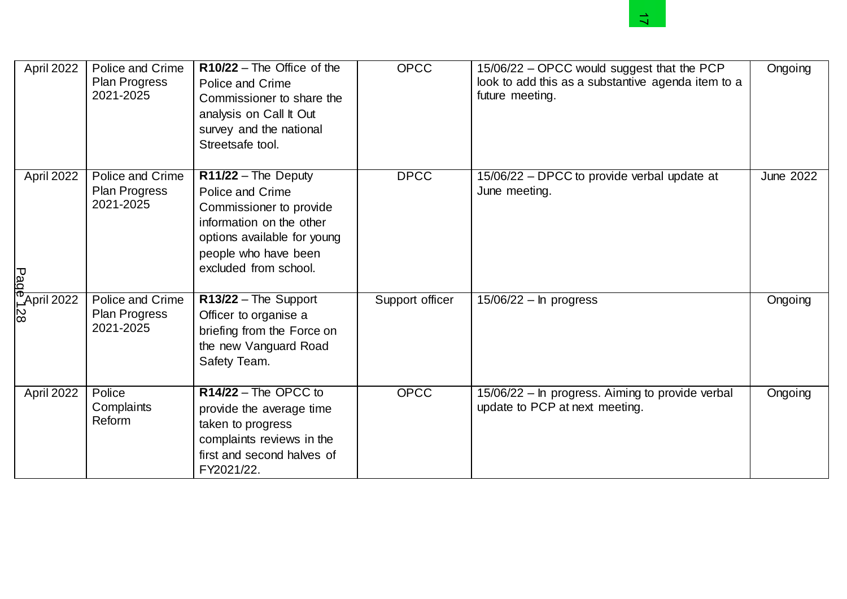| April 2022                                 | Police and Crime<br><b>Plan Progress</b><br>2021-2025 | $R10/22$ – The Office of the<br>Police and Crime<br>Commissioner to share the<br>analysis on Call It Out<br>survey and the national<br>Streetsafe tool.                        | <b>OPCC</b>     | 15/06/22 - OPCC would suggest that the PCP<br>look to add this as a substantive agenda item to a<br>future meeting. | Ongoing          |
|--------------------------------------------|-------------------------------------------------------|--------------------------------------------------------------------------------------------------------------------------------------------------------------------------------|-----------------|---------------------------------------------------------------------------------------------------------------------|------------------|
| April 2022<br><b>D</b><br>Q<br>-April 2022 | Police and Crime<br><b>Plan Progress</b><br>2021-2025 | R11/22 - The Deputy<br>Police and Crime<br>Commissioner to provide<br>information on the other<br>options available for young<br>people who have been<br>excluded from school. | <b>DPCC</b>     | 15/06/22 - DPCC to provide verbal update at<br>June meeting.                                                        | <b>June 2022</b> |
| 28                                         | Police and Crime<br><b>Plan Progress</b><br>2021-2025 | R13/22 - The Support<br>Officer to organise a<br>briefing from the Force on<br>the new Vanguard Road<br>Safety Team.                                                           | Support officer | $15/06/22 - \ln$ progress                                                                                           | Ongoing          |
| April 2022                                 | Police<br>Complaints<br>Reform                        | $R14/22$ – The OPCC to<br>provide the average time<br>taken to progress<br>complaints reviews in the<br>first and second halves of<br>FY2021/22.                               | <b>OPCC</b>     | 15/06/22 - In progress. Aiming to provide verbal<br>update to PCP at next meeting.                                  | Ongoing          |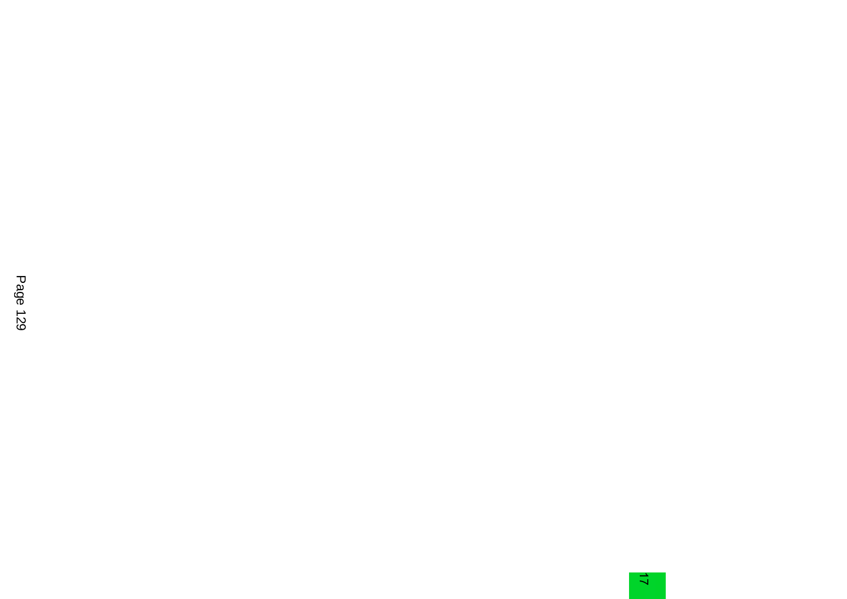Page 129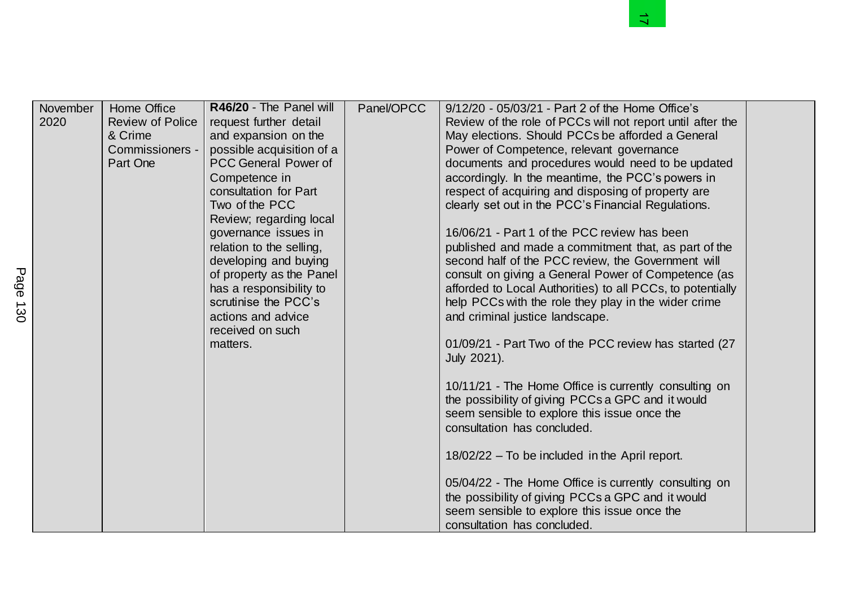| Page<br>130 | November<br>2020 | Home Office<br><b>Review of Police</b><br>& Crime<br>Commissioners -<br>Part One | R46/20 - The Panel will<br>request further detail<br>and expansion on the<br>possible acquisition of a<br><b>PCC General Power of</b><br>Competence in<br>consultation for Part<br>Two of the PCC<br>Review; regarding local<br>governance issues in<br>relation to the selling,<br>developing and buying<br>of property as the Panel<br>has a responsibility to<br>scrutinise the PCC's<br>actions and advice<br>received on such<br>matters. | Panel/OPCC | 9/12/20 - 05/03/21 - Part 2 of the Home Office's<br>Review of the role of PCCs will not report until after the<br>May elections. Should PCCs be afforded a General<br>Power of Competence, relevant governance<br>documents and procedures would need to be updated<br>accordingly. In the meantime, the PCC's powers in<br>respect of acquiring and disposing of property are<br>clearly set out in the PCC's Financial Regulations.<br>16/06/21 - Part 1 of the PCC review has been<br>published and made a commitment that, as part of the<br>second half of the PCC review, the Government will<br>consult on giving a General Power of Competence (as<br>afforded to Local Authorities) to all PCCs, to potentially<br>help PCCs with the role they play in the wider crime<br>and criminal justice landscape.<br>01/09/21 - Part Two of the PCC review has started (27<br>July 2021).<br>10/11/21 - The Home Office is currently consulting on<br>the possibility of giving PCCs a GPC and it would<br>seem sensible to explore this issue once the<br>consultation has concluded.<br>18/02/22 - To be included in the April report. |  |
|-------------|------------------|----------------------------------------------------------------------------------|------------------------------------------------------------------------------------------------------------------------------------------------------------------------------------------------------------------------------------------------------------------------------------------------------------------------------------------------------------------------------------------------------------------------------------------------|------------|--------------------------------------------------------------------------------------------------------------------------------------------------------------------------------------------------------------------------------------------------------------------------------------------------------------------------------------------------------------------------------------------------------------------------------------------------------------------------------------------------------------------------------------------------------------------------------------------------------------------------------------------------------------------------------------------------------------------------------------------------------------------------------------------------------------------------------------------------------------------------------------------------------------------------------------------------------------------------------------------------------------------------------------------------------------------------------------------------------------------------------------------|--|
|             |                  |                                                                                  |                                                                                                                                                                                                                                                                                                                                                                                                                                                |            | 05/04/22 - The Home Office is currently consulting on<br>the possibility of giving PCCs a GPC and it would<br>seem sensible to explore this issue once the<br>consultation has concluded.                                                                                                                                                                                                                                                                                                                                                                                                                                                                                                                                                                                                                                                                                                                                                                                                                                                                                                                                                  |  |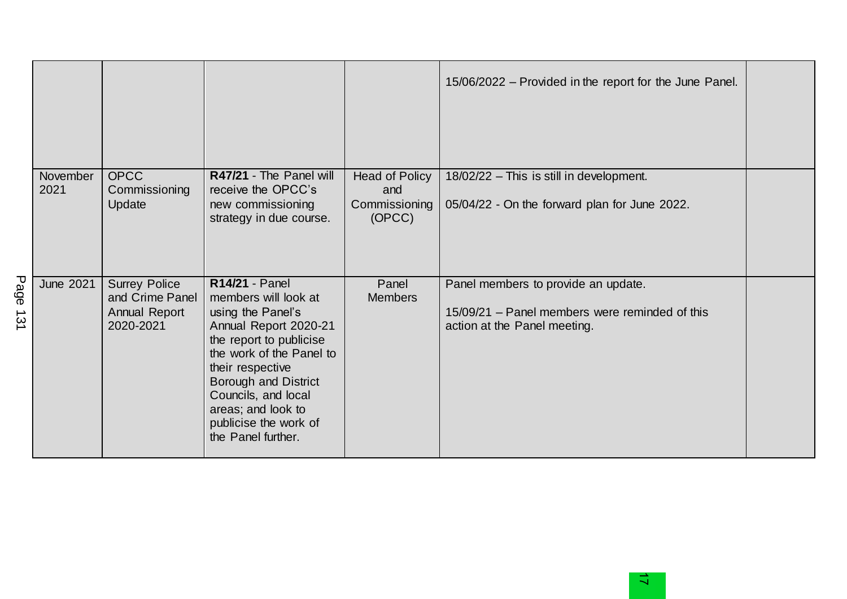|                  |                                                          |                                                                                                                                                                                                                             |                                               | 15/06/2022 – Provided in the report for the June Panel.                                   |  |
|------------------|----------------------------------------------------------|-----------------------------------------------------------------------------------------------------------------------------------------------------------------------------------------------------------------------------|-----------------------------------------------|-------------------------------------------------------------------------------------------|--|
| November<br>2021 | <b>OPCC</b><br>Commissioning<br>Update                   | R47/21 - The Panel will<br>receive the OPCC's<br>new commissioning                                                                                                                                                          | <b>Head of Policy</b><br>and<br>Commissioning | 18/02/22 - This is still in development.<br>05/04/22 - On the forward plan for June 2022. |  |
|                  |                                                          | strategy in due course.                                                                                                                                                                                                     | (OPCC)                                        |                                                                                           |  |
| <b>June 2021</b> | <b>Surrey Police</b><br>and Crime Panel<br>Annual Report | <b>R14/21 - Panel</b><br>members will look at<br>using the Panel's                                                                                                                                                          | Panel<br><b>Members</b>                       | Panel members to provide an update.<br>15/09/21 – Panel members were reminded of this     |  |
|                  | 2020-2021                                                | Annual Report 2020-21<br>the report to publicise<br>the work of the Panel to<br>their respective<br><b>Borough and District</b><br>Councils, and local<br>areas; and look to<br>publicise the work of<br>the Panel further. |                                               | action at the Panel meeting.                                                              |  |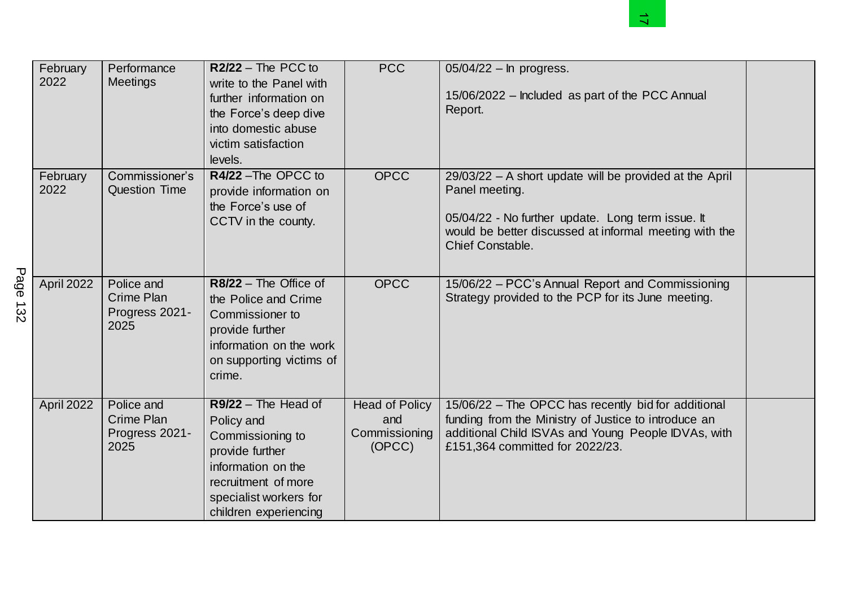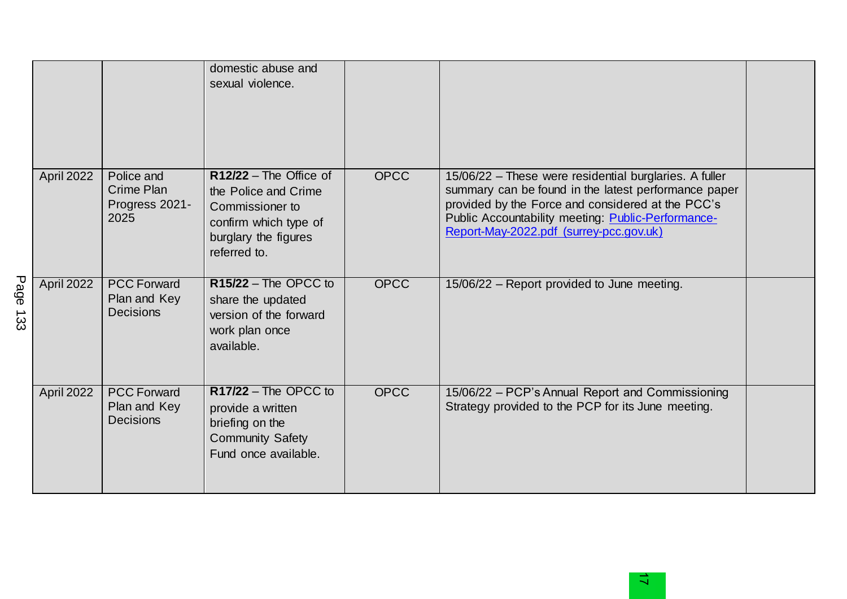|            |                                                        | domestic abuse and<br>sexual violence.                                                                                               |             |                                                                                                                                                                                                                                                                      |  |
|------------|--------------------------------------------------------|--------------------------------------------------------------------------------------------------------------------------------------|-------------|----------------------------------------------------------------------------------------------------------------------------------------------------------------------------------------------------------------------------------------------------------------------|--|
| April 2022 | Police and<br>Crime Plan<br>Progress 2021-<br>2025     | $R12/22$ – The Office of<br>the Police and Crime<br>Commissioner to<br>confirm which type of<br>burglary the figures<br>referred to. | <b>OPCC</b> | 15/06/22 – These were residential burglaries. A fuller<br>summary can be found in the latest performance paper<br>provided by the Force and considered at the PCC's<br>Public Accountability meeting: Public-Performance-<br>Report-May-2022.pdf (surrey-pcc.gov.uk) |  |
| April 2022 | <b>PCC Forward</b><br>Plan and Key<br><b>Decisions</b> | $R15/22$ – The OPCC to<br>share the updated<br>version of the forward<br>work plan once<br>available.                                | <b>OPCC</b> | 15/06/22 - Report provided to June meeting.                                                                                                                                                                                                                          |  |
| April 2022 | <b>PCC Forward</b><br>Plan and Key<br><b>Decisions</b> | $R17/22$ – The OPCC to<br>provide a written<br>briefing on the<br><b>Community Safety</b><br>Fund once available.                    | <b>OPCC</b> | 15/06/22 - PCP's Annual Report and Commissioning<br>Strategy provided to the PCP for its June meeting.                                                                                                                                                               |  |